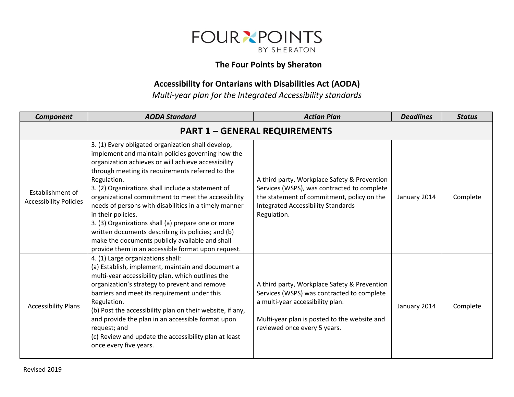

## **The Four Points by Sheraton**

## **Accessibility for Ontarians with Disabilities Act (AODA)**

*Multi-year plan for the Integrated Accessibility standards*

| <b>Component</b>                                  | <b>AODA Standard</b>                                                                                                                                                                                                                                                                                                                                                                                                                                                                                                                                                                                                                              | <b>Action Plan</b>                                                                                                                                                                                             | <b>Deadlines</b> | <b>Status</b> |  |  |  |
|---------------------------------------------------|---------------------------------------------------------------------------------------------------------------------------------------------------------------------------------------------------------------------------------------------------------------------------------------------------------------------------------------------------------------------------------------------------------------------------------------------------------------------------------------------------------------------------------------------------------------------------------------------------------------------------------------------------|----------------------------------------------------------------------------------------------------------------------------------------------------------------------------------------------------------------|------------------|---------------|--|--|--|
|                                                   | <b>PART 1 - GENERAL REQUIREMENTS</b>                                                                                                                                                                                                                                                                                                                                                                                                                                                                                                                                                                                                              |                                                                                                                                                                                                                |                  |               |  |  |  |
| Establishment of<br><b>Accessibility Policies</b> | 3. (1) Every obligated organization shall develop,<br>implement and maintain policies governing how the<br>organization achieves or will achieve accessibility<br>through meeting its requirements referred to the<br>Regulation.<br>3. (2) Organizations shall include a statement of<br>organizational commitment to meet the accessibility<br>needs of persons with disabilities in a timely manner<br>in their policies.<br>3. (3) Organizations shall (a) prepare one or more<br>written documents describing its policies; and (b)<br>make the documents publicly available and shall<br>provide them in an accessible format upon request. | A third party, Workplace Safety & Prevention<br>Services (WSPS), was contracted to complete<br>the statement of commitment, policy on the<br><b>Integrated Accessibility Standards</b><br>Regulation.          | January 2014     | Complete      |  |  |  |
| <b>Accessibility Plans</b>                        | 4. (1) Large organizations shall:<br>(a) Establish, implement, maintain and document a<br>multi-year accessibility plan, which outlines the<br>organization's strategy to prevent and remove<br>barriers and meet its requirement under this<br>Regulation.<br>(b) Post the accessibility plan on their website, if any,<br>and provide the plan in an accessible format upon<br>request; and<br>(c) Review and update the accessibility plan at least<br>once every five years.                                                                                                                                                                  | A third party, Workplace Safety & Prevention<br>Services (WSPS) was contracted to complete<br>a multi-year accessibility plan.<br>Multi-year plan is posted to the website and<br>reviewed once every 5 years. | January 2014     | Complete      |  |  |  |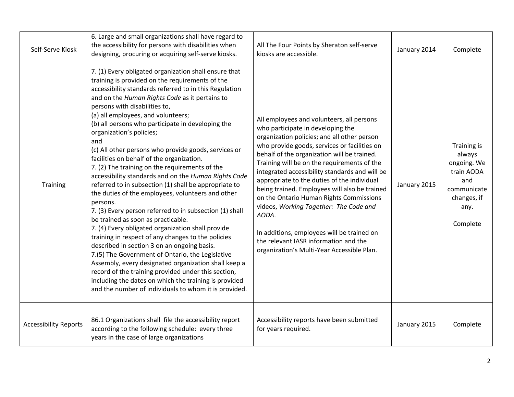| Self-Serve Kiosk             | 6. Large and small organizations shall have regard to<br>the accessibility for persons with disabilities when<br>designing, procuring or acquiring self-serve kiosks.                                                                                                                                                                                                                                                                                                                                                                                                                                                                                                                                                                                                                                                                                                                                                                                                                                                                                                                                                                                                                                                                                                        | All The Four Points by Sheraton self-serve<br>kiosks are accessible.                                                                                                                                                                                                                                                                                                                                                                                                                                                                                                                                                                                             | January 2014 | Complete                                                                                                    |
|------------------------------|------------------------------------------------------------------------------------------------------------------------------------------------------------------------------------------------------------------------------------------------------------------------------------------------------------------------------------------------------------------------------------------------------------------------------------------------------------------------------------------------------------------------------------------------------------------------------------------------------------------------------------------------------------------------------------------------------------------------------------------------------------------------------------------------------------------------------------------------------------------------------------------------------------------------------------------------------------------------------------------------------------------------------------------------------------------------------------------------------------------------------------------------------------------------------------------------------------------------------------------------------------------------------|------------------------------------------------------------------------------------------------------------------------------------------------------------------------------------------------------------------------------------------------------------------------------------------------------------------------------------------------------------------------------------------------------------------------------------------------------------------------------------------------------------------------------------------------------------------------------------------------------------------------------------------------------------------|--------------|-------------------------------------------------------------------------------------------------------------|
| Training                     | 7. (1) Every obligated organization shall ensure that<br>training is provided on the requirements of the<br>accessibility standards referred to in this Regulation<br>and on the Human Rights Code as it pertains to<br>persons with disabilities to,<br>(a) all employees, and volunteers;<br>(b) all persons who participate in developing the<br>organization's policies;<br>and<br>(c) All other persons who provide goods, services or<br>facilities on behalf of the organization.<br>7. (2) The training on the requirements of the<br>accessibility standards and on the Human Rights Code<br>referred to in subsection (1) shall be appropriate to<br>the duties of the employees, volunteers and other<br>persons.<br>7. (3) Every person referred to in subsection (1) shall<br>be trained as soon as practicable.<br>7. (4) Every obligated organization shall provide<br>training in respect of any changes to the policies<br>described in section 3 on an ongoing basis.<br>7.(5) The Government of Ontario, the Legislative<br>Assembly, every designated organization shall keep a<br>record of the training provided under this section,<br>including the dates on which the training is provided<br>and the number of individuals to whom it is provided. | All employees and volunteers, all persons<br>who participate in developing the<br>organization policies; and all other person<br>who provide goods, services or facilities on<br>behalf of the organization will be trained.<br>Training will be on the requirements of the<br>integrated accessibility standards and will be<br>appropriate to the duties of the individual<br>being trained. Employees will also be trained<br>on the Ontario Human Rights Commissions<br>videos, Working Together: The Code and<br>AODA.<br>In additions, employees will be trained on<br>the relevant IASR information and the<br>organization's Multi-Year Accessible Plan. | January 2015 | Training is<br>always<br>ongoing. We<br>train AODA<br>and<br>communicate<br>changes, if<br>any.<br>Complete |
| <b>Accessibility Reports</b> | 86.1 Organizations shall file the accessibility report<br>according to the following schedule: every three<br>years in the case of large organizations                                                                                                                                                                                                                                                                                                                                                                                                                                                                                                                                                                                                                                                                                                                                                                                                                                                                                                                                                                                                                                                                                                                       | Accessibility reports have been submitted<br>for years required.                                                                                                                                                                                                                                                                                                                                                                                                                                                                                                                                                                                                 | January 2015 | Complete                                                                                                    |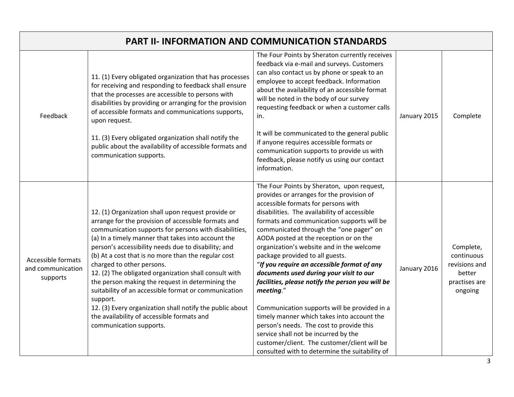| <b>PART II- INFORMATION AND COMMUNICATION STANDARDS</b> |                                                                                                                                                                                                                                                                                                                                                                                                                                                                                                                                                                                                                                                                                           |                                                                                                                                                                                                                                                                                                                                                                                                                                                                                                                                                                                                                                                                                                                                                                                                                                                  |              |                                                                                |
|---------------------------------------------------------|-------------------------------------------------------------------------------------------------------------------------------------------------------------------------------------------------------------------------------------------------------------------------------------------------------------------------------------------------------------------------------------------------------------------------------------------------------------------------------------------------------------------------------------------------------------------------------------------------------------------------------------------------------------------------------------------|--------------------------------------------------------------------------------------------------------------------------------------------------------------------------------------------------------------------------------------------------------------------------------------------------------------------------------------------------------------------------------------------------------------------------------------------------------------------------------------------------------------------------------------------------------------------------------------------------------------------------------------------------------------------------------------------------------------------------------------------------------------------------------------------------------------------------------------------------|--------------|--------------------------------------------------------------------------------|
| Feedback                                                | 11. (1) Every obligated organization that has processes<br>for receiving and responding to feedback shall ensure<br>that the processes are accessible to persons with<br>disabilities by providing or arranging for the provision<br>of accessible formats and communications supports,<br>upon request.<br>11. (3) Every obligated organization shall notify the<br>public about the availability of accessible formats and<br>communication supports.                                                                                                                                                                                                                                   | The Four Points by Sheraton currently receives<br>feedback via e-mail and surveys. Customers<br>can also contact us by phone or speak to an<br>employee to accept feedback. Information<br>about the availability of an accessible format<br>will be noted in the body of our survey<br>requesting feedback or when a customer calls<br>in.<br>It will be communicated to the general public<br>if anyone requires accessible formats or<br>communication supports to provide us with<br>feedback, please notify us using our contact<br>information.                                                                                                                                                                                                                                                                                            | January 2015 | Complete                                                                       |
| Accessible formats<br>and communication<br>supports     | 12. (1) Organization shall upon request provide or<br>arrange for the provision of accessible formats and<br>communication supports for persons with disabilities,<br>(a) In a timely manner that takes into account the<br>person's accessibility needs due to disability; and<br>(b) At a cost that is no more than the regular cost<br>charged to other persons.<br>12. (2) The obligated organization shall consult with<br>the person making the request in determining the<br>suitability of an accessible format or communication<br>support.<br>12. (3) Every organization shall notify the public about<br>the availability of accessible formats and<br>communication supports. | The Four Points by Sheraton, upon request,<br>provides or arranges for the provision of<br>accessible formats for persons with<br>disabilities. The availability of accessible<br>formats and communication supports will be<br>communicated through the "one pager" on<br>AODA posted at the reception or on the<br>organization's website and in the welcome<br>package provided to all guests.<br>"If you require an accessible format of any<br>documents used during your visit to our<br>facilities, please notify the person you will be<br>meeting."<br>Communication supports will be provided in a<br>timely manner which takes into account the<br>person's needs. The cost to provide this<br>service shall not be incurred by the<br>customer/client. The customer/client will be<br>consulted with to determine the suitability of | January 2016 | Complete,<br>continuous<br>revisions and<br>better<br>practises are<br>ongoing |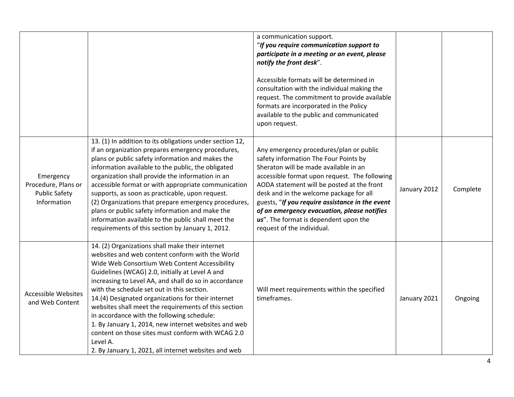|                                                                         |                                                                                                                                                                                                                                                                                                                                                                                                                                                                                                                                                                                                                                                            | a communication support.<br>"If you require communication support to<br>participate in a meeting or an event, please<br>notify the front desk".<br>Accessible formats will be determined in<br>consultation with the individual making the<br>request. The commitment to provide available<br>formats are incorporated in the Policy<br>available to the public and communicated<br>upon request.                                            |              |          |
|-------------------------------------------------------------------------|------------------------------------------------------------------------------------------------------------------------------------------------------------------------------------------------------------------------------------------------------------------------------------------------------------------------------------------------------------------------------------------------------------------------------------------------------------------------------------------------------------------------------------------------------------------------------------------------------------------------------------------------------------|----------------------------------------------------------------------------------------------------------------------------------------------------------------------------------------------------------------------------------------------------------------------------------------------------------------------------------------------------------------------------------------------------------------------------------------------|--------------|----------|
| Emergency<br>Procedure, Plans or<br><b>Public Safety</b><br>Information | 13. (1) In addition to its obligations under section 12,<br>if an organization prepares emergency procedures,<br>plans or public safety information and makes the<br>information available to the public, the obligated<br>organization shall provide the information in an<br>accessible format or with appropriate communication<br>supports, as soon as practicable, upon request.<br>(2) Organizations that prepare emergency procedures,<br>plans or public safety information and make the<br>information available to the public shall meet the<br>requirements of this section by January 1, 2012.                                                 | Any emergency procedures/plan or public<br>safety information The Four Points by<br>Sheraton will be made available in an<br>accessible format upon request. The following<br>AODA statement will be posted at the front<br>desk and in the welcome package for all<br>guests, "If you require assistance in the event<br>of an emergency evacuation, please notifies<br>us". The format is dependent upon the<br>request of the individual. | January 2012 | Complete |
| <b>Accessible Websites</b><br>and Web Content                           | 14. (2) Organizations shall make their internet<br>websites and web content conform with the World<br>Wide Web Consortium Web Content Accessibility<br>Guidelines (WCAG) 2.0, initially at Level A and<br>increasing to Level AA, and shall do so in accordance<br>with the schedule set out in this section.<br>14.(4) Designated organizations for their internet<br>websites shall meet the requirements of this section<br>in accordance with the following schedule:<br>1. By January 1, 2014, new internet websites and web<br>content on those sites must conform with WCAG 2.0<br>Level A.<br>2. By January 1, 2021, all internet websites and web | Will meet requirements within the specified<br>timeframes.                                                                                                                                                                                                                                                                                                                                                                                   | January 2021 | Ongoing  |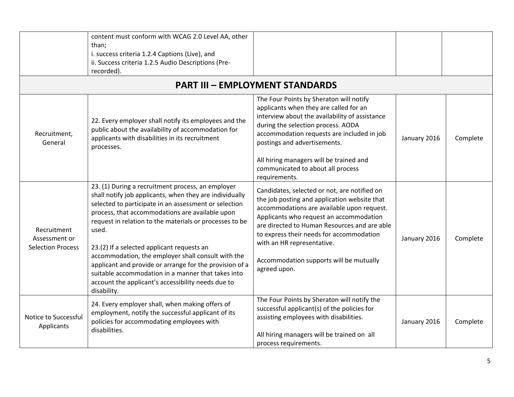|                                                          | content must conform with WCAG 2.0 Level AA, other<br>than;<br>i. success criteria 1.2.4 Captions (Live), and<br>ii. Success criteria 1.2.5 Audio Descriptions (Pre-<br>recorded).                                                                                                                                                                                                                                                                                                                                                                                                     |                                                                                                                                                                                                                                                                                                                                                                            |              |          |
|----------------------------------------------------------|----------------------------------------------------------------------------------------------------------------------------------------------------------------------------------------------------------------------------------------------------------------------------------------------------------------------------------------------------------------------------------------------------------------------------------------------------------------------------------------------------------------------------------------------------------------------------------------|----------------------------------------------------------------------------------------------------------------------------------------------------------------------------------------------------------------------------------------------------------------------------------------------------------------------------------------------------------------------------|--------------|----------|
|                                                          |                                                                                                                                                                                                                                                                                                                                                                                                                                                                                                                                                                                        | <b>PART III - EMPLOYMENT STANDARDS</b><br>The Four Points by Sheraton will notify                                                                                                                                                                                                                                                                                          |              |          |
| Recruitment,<br>General                                  | 22. Every employer shall notify its employees and the<br>public about the availability of accommodation for<br>applicants with disabilities in its recruitment<br>processes.                                                                                                                                                                                                                                                                                                                                                                                                           | applicants when they are called for an<br>interview about the availability of assistance<br>during the selection process. AODA<br>accommodation requests are included in job<br>postings and advertisements.<br>All hiring managers will be trained and<br>communicated to about all process<br>requirements.                                                              | January 2016 | Complete |
| Recruitment<br>Assessment or<br><b>Selection Process</b> | 23. (1) During a recruitment process, an employer<br>shall notify job applicants, when they are individually<br>selected to participate in an assessment or selection<br>process, that accommodations are available upon<br>request in relation to the materials or processes to be<br>used.<br>23.(2) If a selected applicant requests an<br>accommodation, the employer shall consult with the<br>applicant and provide or arrange for the provision of a<br>suitable accommodation in a manner that takes into<br>account the applicant's accessibility needs due to<br>disability. | Candidates, selected or not, are notified on<br>the job posting and application website that<br>accommodations are available upon request.<br>Applicants who request an accommodation<br>are directed to Human Resources and are able<br>to express their needs for accommodation<br>with an HR representative.<br>Accommodation supports will be mutually<br>agreed upon. | January 2016 | Complete |
| Notice to Successful<br>Applicants                       | 24. Every employer shall, when making offers of<br>employment, notify the successful applicant of its<br>policies for accommodating employees with<br>disabilities.                                                                                                                                                                                                                                                                                                                                                                                                                    | The Four Points by Sheraton will notify the<br>successful applicant(s) of the policies for<br>assisting employees with disabilities.<br>All hiring managers will be trained on all<br>process requirements.                                                                                                                                                                | January 2016 | Complete |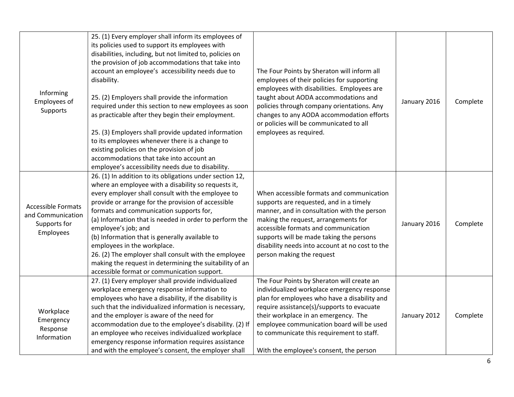| Informing<br>Employees of<br>Supports                                       | 25. (1) Every employer shall inform its employees of<br>its policies used to support its employees with<br>disabilities, including, but not limited to, policies on<br>the provision of job accommodations that take into<br>account an employee's accessibility needs due to<br>disability.<br>25. (2) Employers shall provide the information<br>required under this section to new employees as soon<br>as practicable after they begin their employment.<br>25. (3) Employers shall provide updated information<br>to its employees whenever there is a change to<br>existing policies on the provision of job<br>accommodations that take into account an<br>employee's accessibility needs due to disability. | The Four Points by Sheraton will inform all<br>employees of their policies for supporting<br>employees with disabilities. Employees are<br>taught about AODA accommodations and<br>policies through company orientations. Any<br>changes to any AODA accommodation efforts<br>or policies will be communicated to all<br>employees as required.                      | January 2016 | Complete |
|-----------------------------------------------------------------------------|---------------------------------------------------------------------------------------------------------------------------------------------------------------------------------------------------------------------------------------------------------------------------------------------------------------------------------------------------------------------------------------------------------------------------------------------------------------------------------------------------------------------------------------------------------------------------------------------------------------------------------------------------------------------------------------------------------------------|----------------------------------------------------------------------------------------------------------------------------------------------------------------------------------------------------------------------------------------------------------------------------------------------------------------------------------------------------------------------|--------------|----------|
| <b>Accessible Formats</b><br>and Communication<br>Supports for<br>Employees | 26. (1) In addition to its obligations under section 12,<br>where an employee with a disability so requests it,<br>every employer shall consult with the employee to<br>provide or arrange for the provision of accessible<br>formats and communication supports for,<br>(a) Information that is needed in order to perform the<br>employee's job; and<br>(b) Information that is generally available to<br>employees in the workplace.<br>26. (2) The employer shall consult with the employee<br>making the request in determining the suitability of an<br>accessible format or communication support.                                                                                                           | When accessible formats and communication<br>supports are requested, and in a timely<br>manner, and in consultation with the person<br>making the request, arrangements for<br>accessible formats and communication<br>supports will be made taking the persons<br>disability needs into account at no cost to the<br>person making the request                      | January 2016 | Complete |
| Workplace<br>Emergency<br>Response<br>Information                           | 27. (1) Every employer shall provide individualized<br>workplace emergency response information to<br>employees who have a disability, if the disability is<br>such that the individualized information is necessary,<br>and the employer is aware of the need for<br>accommodation due to the employee's disability. (2) If<br>an employee who receives individualized workplace<br>emergency response information requires assistance<br>and with the employee's consent, the employer shall                                                                                                                                                                                                                      | The Four Points by Sheraton will create an<br>individualized workplace emergency response<br>plan for employees who have a disability and<br>require assistance(s)/supports to evacuate<br>their workplace in an emergency. The<br>employee communication board will be used<br>to communicate this requirement to staff.<br>With the employee's consent, the person | January 2012 | Complete |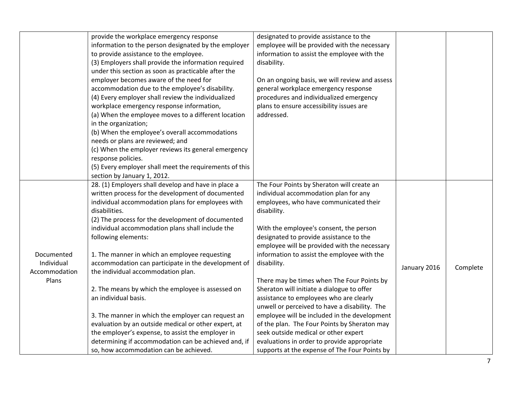|               | provide the workplace emergency response               | designated to provide assistance to the        |              |          |
|---------------|--------------------------------------------------------|------------------------------------------------|--------------|----------|
|               | information to the person designated by the employer   | employee will be provided with the necessary   |              |          |
|               | to provide assistance to the employee.                 | information to assist the employee with the    |              |          |
|               | (3) Employers shall provide the information required   | disability.                                    |              |          |
|               | under this section as soon as practicable after the    |                                                |              |          |
|               | employer becomes aware of the need for                 | On an ongoing basis, we will review and assess |              |          |
|               | accommodation due to the employee's disability.        | general workplace emergency response           |              |          |
|               | (4) Every employer shall review the individualized     | procedures and individualized emergency        |              |          |
|               | workplace emergency response information,              | plans to ensure accessibility issues are       |              |          |
|               | (a) When the employee moves to a different location    | addressed.                                     |              |          |
|               | in the organization;                                   |                                                |              |          |
|               | (b) When the employee's overall accommodations         |                                                |              |          |
|               | needs or plans are reviewed; and                       |                                                |              |          |
|               | (c) When the employer reviews its general emergency    |                                                |              |          |
|               | response policies.                                     |                                                |              |          |
|               | (5) Every employer shall meet the requirements of this |                                                |              |          |
|               | section by January 1, 2012.                            |                                                |              |          |
|               | 28. (1) Employers shall develop and have in place a    | The Four Points by Sheraton will create an     |              |          |
|               | written process for the development of documented      | individual accommodation plan for any          |              |          |
|               | individual accommodation plans for employees with      | employees, who have communicated their         |              |          |
|               | disabilities.                                          | disability.                                    |              |          |
|               | (2) The process for the development of documented      |                                                |              |          |
|               | individual accommodation plans shall include the       | With the employee's consent, the person        |              |          |
|               | following elements:                                    | designated to provide assistance to the        |              |          |
|               |                                                        | employee will be provided with the necessary   |              |          |
| Documented    | 1. The manner in which an employee requesting          | information to assist the employee with the    |              |          |
| Individual    | accommodation can participate in the development of    | disability.                                    | January 2016 | Complete |
| Accommodation | the individual accommodation plan.                     |                                                |              |          |
| Plans         |                                                        | There may be times when The Four Points by     |              |          |
|               | 2. The means by which the employee is assessed on      | Sheraton will initiate a dialogue to offer     |              |          |
|               | an individual basis.                                   | assistance to employees who are clearly        |              |          |
|               |                                                        | unwell or perceived to have a disability. The  |              |          |
|               | 3. The manner in which the employer can request an     | employee will be included in the development   |              |          |
|               | evaluation by an outside medical or other expert, at   | of the plan. The Four Points by Sheraton may   |              |          |
|               | the employer's expense, to assist the employer in      | seek outside medical or other expert           |              |          |
|               | determining if accommodation can be achieved and, if   | evaluations in order to provide appropriate    |              |          |
|               | so, how accommodation can be achieved.                 | supports at the expense of The Four Points by  |              |          |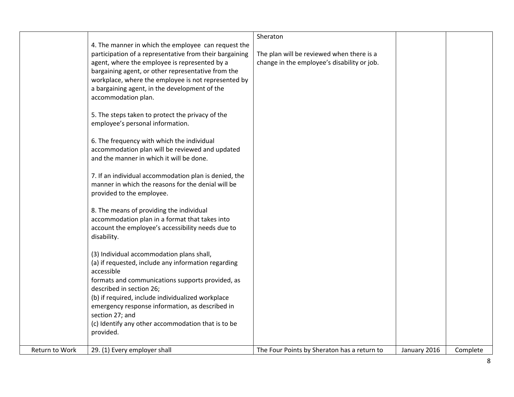|                |                                                         | Sheraton                                    |              |          |
|----------------|---------------------------------------------------------|---------------------------------------------|--------------|----------|
|                | 4. The manner in which the employee can request the     |                                             |              |          |
|                | participation of a representative from their bargaining | The plan will be reviewed when there is a   |              |          |
|                | agent, where the employee is represented by a           | change in the employee's disability or job. |              |          |
|                | bargaining agent, or other representative from the      |                                             |              |          |
|                | workplace, where the employee is not represented by     |                                             |              |          |
|                | a bargaining agent, in the development of the           |                                             |              |          |
|                | accommodation plan.                                     |                                             |              |          |
|                |                                                         |                                             |              |          |
|                | 5. The steps taken to protect the privacy of the        |                                             |              |          |
|                | employee's personal information.                        |                                             |              |          |
|                |                                                         |                                             |              |          |
|                | 6. The frequency with which the individual              |                                             |              |          |
|                | accommodation plan will be reviewed and updated         |                                             |              |          |
|                | and the manner in which it will be done.                |                                             |              |          |
|                |                                                         |                                             |              |          |
|                | 7. If an individual accommodation plan is denied, the   |                                             |              |          |
|                | manner in which the reasons for the denial will be      |                                             |              |          |
|                | provided to the employee.                               |                                             |              |          |
|                |                                                         |                                             |              |          |
|                | 8. The means of providing the individual                |                                             |              |          |
|                | accommodation plan in a format that takes into          |                                             |              |          |
|                | account the employee's accessibility needs due to       |                                             |              |          |
|                | disability.                                             |                                             |              |          |
|                | (3) Individual accommodation plans shall,               |                                             |              |          |
|                | (a) if requested, include any information regarding     |                                             |              |          |
|                | accessible                                              |                                             |              |          |
|                | formats and communications supports provided, as        |                                             |              |          |
|                | described in section 26;                                |                                             |              |          |
|                | (b) if required, include individualized workplace       |                                             |              |          |
|                | emergency response information, as described in         |                                             |              |          |
|                | section 27; and                                         |                                             |              |          |
|                | (c) Identify any other accommodation that is to be      |                                             |              |          |
|                | provided.                                               |                                             |              |          |
|                |                                                         |                                             |              |          |
| Return to Work | 29. (1) Every employer shall                            | The Four Points by Sheraton has a return to | January 2016 | Complete |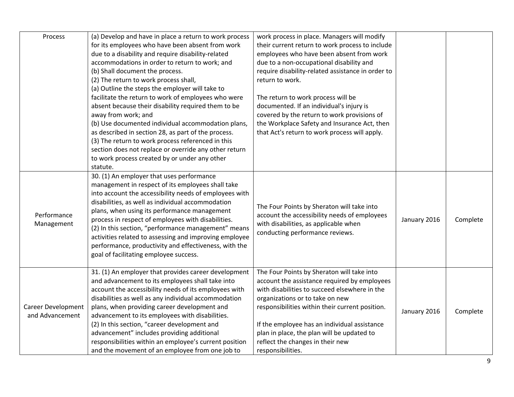| Process                                      | (a) Develop and have in place a return to work process<br>for its employees who have been absent from work<br>due to a disability and require disability-related<br>accommodations in order to return to work; and<br>(b) Shall document the process.<br>(2) The return to work process shall,<br>(a) Outline the steps the employer will take to<br>facilitate the return to work of employees who were<br>absent because their disability required them to be<br>away from work; and<br>(b) Use documented individual accommodation plans,<br>as described in section 28, as part of the process.<br>(3) The return to work process referenced in this<br>section does not replace or override any other return<br>to work process created by or under any other<br>statute. | work process in place. Managers will modify<br>their current return to work process to include<br>employees who have been absent from work<br>due to a non-occupational disability and<br>require disability-related assistance in order to<br>return to work.<br>The return to work process will be<br>documented. If an individual's injury is<br>covered by the return to work provisions of<br>the Workplace Safety and Insurance Act, then<br>that Act's return to work process will apply. |              |          |
|----------------------------------------------|--------------------------------------------------------------------------------------------------------------------------------------------------------------------------------------------------------------------------------------------------------------------------------------------------------------------------------------------------------------------------------------------------------------------------------------------------------------------------------------------------------------------------------------------------------------------------------------------------------------------------------------------------------------------------------------------------------------------------------------------------------------------------------|--------------------------------------------------------------------------------------------------------------------------------------------------------------------------------------------------------------------------------------------------------------------------------------------------------------------------------------------------------------------------------------------------------------------------------------------------------------------------------------------------|--------------|----------|
| Performance<br>Management                    | 30. (1) An employer that uses performance<br>management in respect of its employees shall take<br>into account the accessibility needs of employees with<br>disabilities, as well as individual accommodation<br>plans, when using its performance management<br>process in respect of employees with disabilities.<br>(2) In this section, "performance management" means<br>activities related to assessing and improving employee<br>performance, productivity and effectiveness, with the<br>goal of facilitating employee success.                                                                                                                                                                                                                                        | The Four Points by Sheraton will take into<br>account the accessibility needs of employees<br>with disabilities, as applicable when<br>conducting performance reviews.                                                                                                                                                                                                                                                                                                                           | January 2016 | Complete |
| <b>Career Development</b><br>and Advancement | 31. (1) An employer that provides career development<br>and advancement to its employees shall take into<br>account the accessibility needs of its employees with<br>disabilities as well as any individual accommodation<br>plans, when providing career development and<br>advancement to its employees with disabilities.<br>(2) In this section, "career development and<br>advancement" includes providing additional<br>responsibilities within an employee's current position<br>and the movement of an employee from one job to                                                                                                                                                                                                                                        | The Four Points by Sheraton will take into<br>account the assistance required by employees<br>with disabilities to succeed elsewhere in the<br>organizations or to take on new<br>responsibilities within their current position.<br>If the employee has an individual assistance<br>plan in place, the plan will be updated to<br>reflect the changes in their new<br>responsibilities.                                                                                                         | January 2016 | Complete |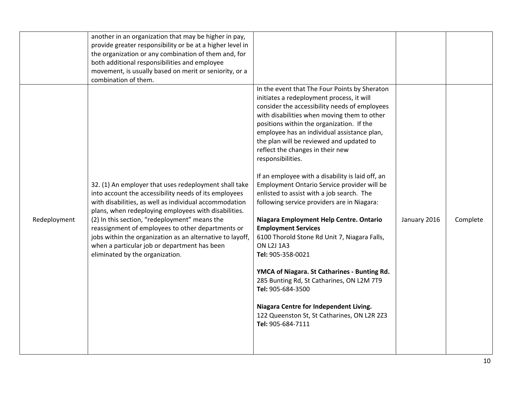|              | another in an organization that may be higher in pay,<br>provide greater responsibility or be at a higher level in<br>the organization or any combination of them and, for<br>both additional responsibilities and employee<br>movement, is usually based on merit or seniority, or a<br>combination of them.                                                                                                                                                                          |                                                                                                                                                                                                                                                                                                                                                                                                                                                                                                                                                                                                                                                                                                                                                                                                                                                                                                                                                                                               |              |          |
|--------------|----------------------------------------------------------------------------------------------------------------------------------------------------------------------------------------------------------------------------------------------------------------------------------------------------------------------------------------------------------------------------------------------------------------------------------------------------------------------------------------|-----------------------------------------------------------------------------------------------------------------------------------------------------------------------------------------------------------------------------------------------------------------------------------------------------------------------------------------------------------------------------------------------------------------------------------------------------------------------------------------------------------------------------------------------------------------------------------------------------------------------------------------------------------------------------------------------------------------------------------------------------------------------------------------------------------------------------------------------------------------------------------------------------------------------------------------------------------------------------------------------|--------------|----------|
| Redeployment | 32. (1) An employer that uses redeployment shall take<br>into account the accessibility needs of its employees<br>with disabilities, as well as individual accommodation<br>plans, when redeploying employees with disabilities.<br>(2) In this section, "redeployment" means the<br>reassignment of employees to other departments or<br>jobs within the organization as an alternative to layoff,<br>when a particular job or department has been<br>eliminated by the organization. | In the event that The Four Points by Sheraton<br>initiates a redeployment process, it will<br>consider the accessibility needs of employees<br>with disabilities when moving them to other<br>positions within the organization. If the<br>employee has an individual assistance plan,<br>the plan will be reviewed and updated to<br>reflect the changes in their new<br>responsibilities.<br>If an employee with a disability is laid off, an<br>Employment Ontario Service provider will be<br>enlisted to assist with a job search. The<br>following service providers are in Niagara:<br>Niagara Employment Help Centre. Ontario<br><b>Employment Services</b><br>6100 Thorold Stone Rd Unit 7, Niagara Falls,<br><b>ON L2J 1A3</b><br>Tel: 905-358-0021<br>YMCA of Niagara. St Catharines - Bunting Rd.<br>285 Bunting Rd, St Catharines, ON L2M 7T9<br>Tel: 905-684-3500<br>Niagara Centre for Independent Living.<br>122 Queenston St, St Catharines, ON L2R 2Z3<br>Tel: 905-684-7111 | January 2016 | Complete |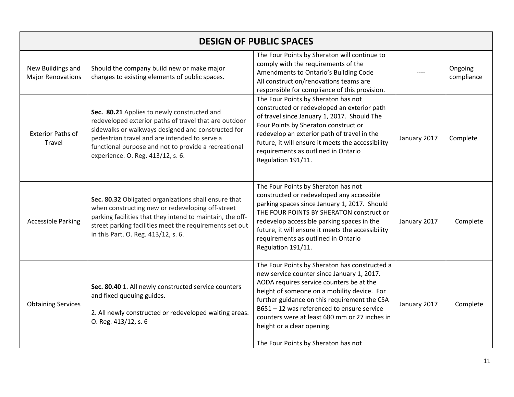| <b>DESIGN OF PUBLIC SPACES</b>                |                                                                                                                                                                                                                                                                                                          |                                                                                                                                                                                                                                                                                                                                                                                                          |              |                       |
|-----------------------------------------------|----------------------------------------------------------------------------------------------------------------------------------------------------------------------------------------------------------------------------------------------------------------------------------------------------------|----------------------------------------------------------------------------------------------------------------------------------------------------------------------------------------------------------------------------------------------------------------------------------------------------------------------------------------------------------------------------------------------------------|--------------|-----------------------|
| New Buildings and<br><b>Major Renovations</b> | Should the company build new or make major<br>changes to existing elements of public spaces.                                                                                                                                                                                                             | The Four Points by Sheraton will continue to<br>comply with the requirements of the<br>Amendments to Ontario's Building Code<br>All construction/renovations teams are<br>responsible for compliance of this provision.                                                                                                                                                                                  |              | Ongoing<br>compliance |
| <b>Exterior Paths of</b><br>Travel            | Sec. 80.21 Applies to newly constructed and<br>redeveloped exterior paths of travel that are outdoor<br>sidewalks or walkways designed and constructed for<br>pedestrian travel and are intended to serve a<br>functional purpose and not to provide a recreational<br>experience. O. Reg. 413/12, s. 6. | The Four Points by Sheraton has not<br>constructed or redeveloped an exterior path<br>of travel since January 1, 2017. Should The<br>Four Points by Sheraton construct or<br>redevelop an exterior path of travel in the<br>future, it will ensure it meets the accessibility<br>requirements as outlined in Ontario<br>Regulation 191/11.                                                               | January 2017 | Complete              |
| <b>Accessible Parking</b>                     | Sec. 80.32 Obligated organizations shall ensure that<br>when constructing new or redeveloping off-street<br>parking facilities that they intend to maintain, the off-<br>street parking facilities meet the requirements set out<br>in this Part. O. Reg. 413/12, s. 6.                                  | The Four Points by Sheraton has not<br>constructed or redeveloped any accessible<br>parking spaces since January 1, 2017. Should<br>THE FOUR POINTS BY SHERATON construct or<br>redevelop accessible parking spaces in the<br>future, it will ensure it meets the accessibility<br>requirements as outlined in Ontario<br>Regulation 191/11.                                                             | January 2017 | Complete              |
| <b>Obtaining Services</b>                     | Sec. 80.40 1. All newly constructed service counters<br>and fixed queuing guides.<br>2. All newly constructed or redeveloped waiting areas.<br>O. Reg. 413/12, s. 6                                                                                                                                      | The Four Points by Sheraton has constructed a<br>new service counter since January 1, 2017.<br>AODA requires service counters be at the<br>height of someone on a mobility device. For<br>further guidance on this requirement the CSA<br>B651-12 was referenced to ensure service<br>counters were at least 680 mm or 27 inches in<br>height or a clear opening.<br>The Four Points by Sheraton has not | January 2017 | Complete              |